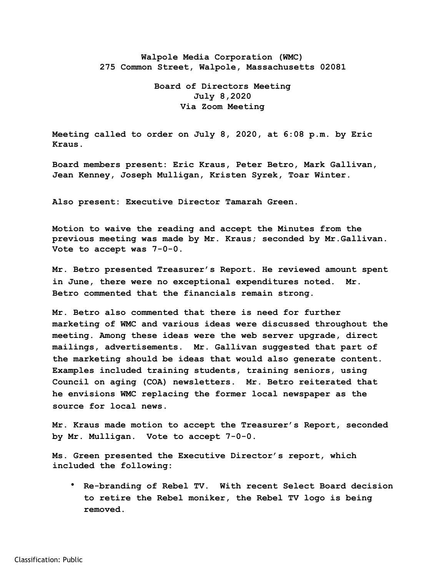## **Walpole Media Corporation (WMC) 275 Common Street, Walpole, Massachusetts 02081**

## **Board of Directors Meeting July 8,2020 Via Zoom Meeting**

**Meeting called to order on July 8, 2020, at 6:08 p.m. by Eric Kraus.** 

**Board members present: Eric Kraus, Peter Betro, Mark Gallivan, Jean Kenney, Joseph Mulligan, Kristen Syrek, Toar Winter.** 

**Also present: Executive Director Tamarah Green.** 

**Motion to waive the reading and accept the Minutes from the previous meeting was made by Mr. Kraus; seconded by Mr.Gallivan. Vote to accept was 7-0-0.** 

**Mr. Betro presented Treasurer's Report. He reviewed amount spent in June, there were no exceptional expenditures noted. Mr. Betro commented that the financials remain strong.** 

**Mr. Betro also commented that there is need for further marketing of WMC and various ideas were discussed throughout the meeting. Among these ideas were the web server upgrade, direct mailings, advertisements. Mr. Gallivan suggested that part of the marketing should be ideas that would also generate content. Examples included training students, training seniors, using Council on aging (COA) newsletters. Mr. Betro reiterated that he envisions WMC replacing the former local newspaper as the source for local news.** 

**Mr. Kraus made motion to accept the Treasurer's Report, seconded by Mr. Mulligan. Vote to accept 7-0-0.** 

**Ms. Green presented the Executive Director's report, which included the following:** 

• **Re-branding of Rebel TV. With recent Select Board decision to retire the Rebel moniker, the Rebel TV logo is being removed.**